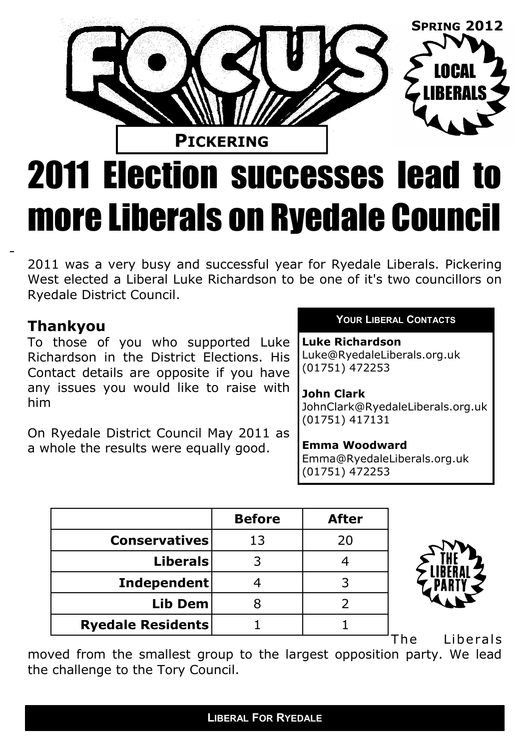# **PICKERING** LOCAL LIBERALS **SPRING 2012**

## 2011 Election successes lead to more Liberals on Ryedale Council

2011 was a very busy and successful year for Ryedale Liberals. Pickering West elected a Liberal Luke Richardson to be one of it's two councillors on Ryedale District Council.

## **Thankyou**

To those of you who supported Luke Richardson in the District Elections. His Contact details are opposite if you have any issues you would like to raise with him

On Ryedale District Council May 2011 as a whole the results were equally good.

#### **YOUR LIBERAL CONTACTS**

**Luke Richardson** Luke@RyedaleLiberals.org.uk (01751) 472253

#### **John Clark**

JohnClark@RyedaleLiberals.org.uk (01751) 417131

#### **Emma Woodward**

Emma@RyedaleLiberals.org.uk (01751) 472253

|                          | <b>Before</b> | <b>After</b> |
|--------------------------|---------------|--------------|
| <b>Conservatives</b>     | 13            | 20           |
| <b>Liberals</b>          |               |              |
| Independent              |               |              |
| Lib Dem                  |               |              |
| <b>Ryedale Residents</b> |               |              |



The Liberals

moved from the smallest group to the largest opposition party. We lead the challenge to the Tory Council.